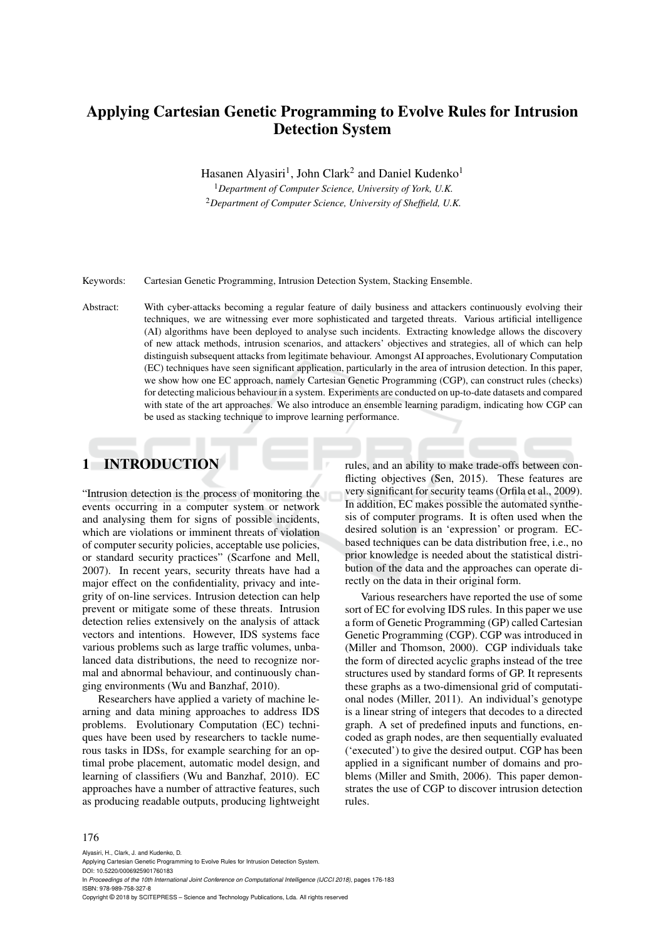# Applying Cartesian Genetic Programming to Evolve Rules for Intrusion Detection System

Hasanen Alyasiri<sup>1</sup>, John Clark<sup>2</sup> and Daniel Kudenko<sup>1</sup>

<sup>1</sup>*Department of Computer Science, University of York, U.K.* <sup>2</sup>*Department of Computer Science, University of Sheffield, U.K.*

Keywords: Cartesian Genetic Programming, Intrusion Detection System, Stacking Ensemble.

Abstract: With cyber-attacks becoming a regular feature of daily business and attackers continuously evolving their techniques, we are witnessing ever more sophisticated and targeted threats. Various artificial intelligence (AI) algorithms have been deployed to analyse such incidents. Extracting knowledge allows the discovery of new attack methods, intrusion scenarios, and attackers' objectives and strategies, all of which can help distinguish subsequent attacks from legitimate behaviour. Amongst AI approaches, Evolutionary Computation (EC) techniques have seen significant application, particularly in the area of intrusion detection. In this paper, we show how one EC approach, namely Cartesian Genetic Programming (CGP), can construct rules (checks) for detecting malicious behaviour in a system. Experiments are conducted on up-to-date datasets and compared with state of the art approaches. We also introduce an ensemble learning paradigm, indicating how CGP can be used as stacking technique to improve learning performance.

# 1 INTRODUCTION

"Intrusion detection is the process of monitoring the events occurring in a computer system or network and analysing them for signs of possible incidents, which are violations or imminent threats of violation of computer security policies, acceptable use policies, or standard security practices" (Scarfone and Mell, 2007). In recent years, security threats have had a major effect on the confidentiality, privacy and integrity of on-line services. Intrusion detection can help prevent or mitigate some of these threats. Intrusion detection relies extensively on the analysis of attack vectors and intentions. However, IDS systems face various problems such as large traffic volumes, unbalanced data distributions, the need to recognize normal and abnormal behaviour, and continuously changing environments (Wu and Banzhaf, 2010).

Researchers have applied a variety of machine learning and data mining approaches to address IDS problems. Evolutionary Computation (EC) techniques have been used by researchers to tackle numerous tasks in IDSs, for example searching for an optimal probe placement, automatic model design, and learning of classifiers (Wu and Banzhaf, 2010). EC approaches have a number of attractive features, such as producing readable outputs, producing lightweight rules, and an ability to make trade-offs between conflicting objectives (Sen, 2015). These features are very significant for security teams (Orfila et al., 2009). In addition, EC makes possible the automated synthesis of computer programs. It is often used when the desired solution is an 'expression' or program. ECbased techniques can be data distribution free, i.e., no prior knowledge is needed about the statistical distribution of the data and the approaches can operate directly on the data in their original form.

Various researchers have reported the use of some sort of EC for evolving IDS rules. In this paper we use a form of Genetic Programming (GP) called Cartesian Genetic Programming (CGP). CGP was introduced in (Miller and Thomson, 2000). CGP individuals take the form of directed acyclic graphs instead of the tree structures used by standard forms of GP. It represents these graphs as a two-dimensional grid of computational nodes (Miller, 2011). An individual's genotype is a linear string of integers that decodes to a directed graph. A set of predefined inputs and functions, encoded as graph nodes, are then sequentially evaluated ('executed') to give the desired output. CGP has been applied in a significant number of domains and problems (Miller and Smith, 2006). This paper demonstrates the use of CGP to discover intrusion detection rules.

#### 176

Alyasiri, H., Clark, J. and Kudenko, D. Applying Cartesian Genetic Programming to Evolve Rules for Intrusion Detection System. DOI: 10.5220/0006925901760183 In *Proceedings of the 10th International Joint Conference on Computational Intelligence (IJCCI 2018)*, pages 176-183 ISBN: 978-989-758-327-8 Copyright © 2018 by SCITEPRESS – Science and Technology Publications, Lda. All rights reserved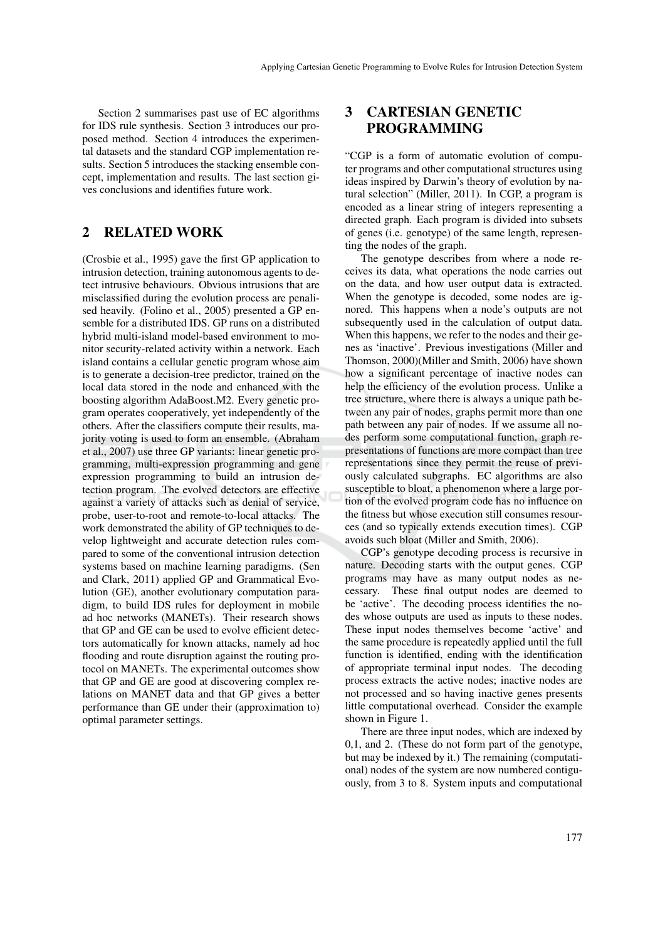Section 2 summarises past use of EC algorithms for IDS rule synthesis. Section 3 introduces our proposed method. Section 4 introduces the experimental datasets and the standard CGP implementation results. Section 5 introduces the stacking ensemble concept, implementation and results. The last section gives conclusions and identifies future work.

### 2 RELATED WORK

(Crosbie et al., 1995) gave the first GP application to intrusion detection, training autonomous agents to detect intrusive behaviours. Obvious intrusions that are misclassified during the evolution process are penalised heavily. (Folino et al., 2005) presented a GP ensemble for a distributed IDS. GP runs on a distributed hybrid multi-island model-based environment to monitor security-related activity within a network. Each island contains a cellular genetic program whose aim is to generate a decision-tree predictor, trained on the local data stored in the node and enhanced with the boosting algorithm AdaBoost.M2. Every genetic program operates cooperatively, yet independently of the others. After the classifiers compute their results, majority voting is used to form an ensemble. (Abraham et al., 2007) use three GP variants: linear genetic programming, multi-expression programming and gene expression programming to build an intrusion detection program. The evolved detectors are effective against a variety of attacks such as denial of service, probe, user-to-root and remote-to-local attacks. The work demonstrated the ability of GP techniques to develop lightweight and accurate detection rules compared to some of the conventional intrusion detection systems based on machine learning paradigms. (Sen and Clark, 2011) applied GP and Grammatical Evolution (GE), another evolutionary computation paradigm, to build IDS rules for deployment in mobile ad hoc networks (MANETs). Their research shows that GP and GE can be used to evolve efficient detectors automatically for known attacks, namely ad hoc flooding and route disruption against the routing protocol on MANETs. The experimental outcomes show that GP and GE are good at discovering complex relations on MANET data and that GP gives a better performance than GE under their (approximation to) optimal parameter settings.

## 3 CARTESIAN GENETIC PROGRAMMING

"CGP is a form of automatic evolution of computer programs and other computational structures using ideas inspired by Darwin's theory of evolution by natural selection" (Miller, 2011). In CGP, a program is encoded as a linear string of integers representing a directed graph. Each program is divided into subsets of genes (i.e. genotype) of the same length, representing the nodes of the graph.

The genotype describes from where a node receives its data, what operations the node carries out on the data, and how user output data is extracted. When the genotype is decoded, some nodes are ignored. This happens when a node's outputs are not subsequently used in the calculation of output data. When this happens, we refer to the nodes and their genes as 'inactive'. Previous investigations (Miller and Thomson, 2000)(Miller and Smith, 2006) have shown how a significant percentage of inactive nodes can help the efficiency of the evolution process. Unlike a tree structure, where there is always a unique path between any pair of nodes, graphs permit more than one path between any pair of nodes. If we assume all nodes perform some computational function, graph representations of functions are more compact than tree representations since they permit the reuse of previously calculated subgraphs. EC algorithms are also susceptible to bloat, a phenomenon where a large portion of the evolved program code has no influence on the fitness but whose execution still consumes resources (and so typically extends execution times). CGP avoids such bloat (Miller and Smith, 2006).

CGP's genotype decoding process is recursive in nature. Decoding starts with the output genes. CGP programs may have as many output nodes as necessary. These final output nodes are deemed to be 'active'. The decoding process identifies the nodes whose outputs are used as inputs to these nodes. These input nodes themselves become 'active' and the same procedure is repeatedly applied until the full function is identified, ending with the identification of appropriate terminal input nodes. The decoding process extracts the active nodes; inactive nodes are not processed and so having inactive genes presents little computational overhead. Consider the example shown in Figure 1.

There are three input nodes, which are indexed by 0,1, and 2. (These do not form part of the genotype, but may be indexed by it.) The remaining (computational) nodes of the system are now numbered contiguously, from 3 to 8. System inputs and computational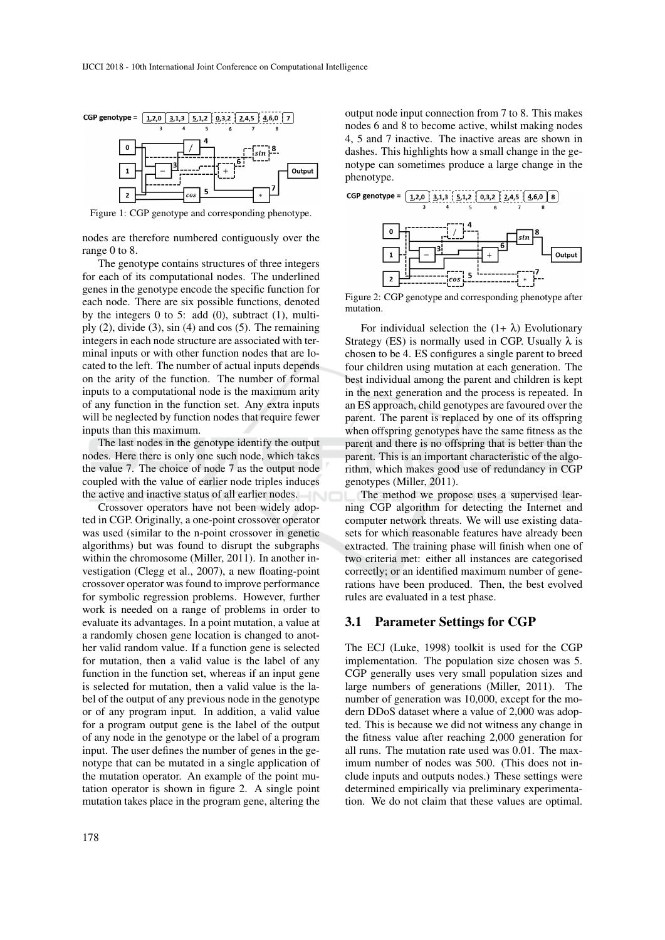

Figure 1: CGP genotype and corresponding phenotype.

nodes are therefore numbered contiguously over the range 0 to 8.

The genotype contains structures of three integers for each of its computational nodes. The underlined genes in the genotype encode the specific function for each node. There are six possible functions, denoted by the integers  $0$  to  $5$ : add  $(0)$ , subtract  $(1)$ , multiply  $(2)$ , divide  $(3)$ , sin  $(4)$  and cos  $(5)$ . The remaining integers in each node structure are associated with terminal inputs or with other function nodes that are located to the left. The number of actual inputs depends on the arity of the function. The number of formal inputs to a computational node is the maximum arity of any function in the function set. Any extra inputs will be neglected by function nodes that require fewer inputs than this maximum.

The last nodes in the genotype identify the output nodes. Here there is only one such node, which takes the value 7. The choice of node 7 as the output node coupled with the value of earlier node triples induces the active and inactive status of all earlier nodes.

Crossover operators have not been widely adopted in CGP. Originally, a one-point crossover operator was used (similar to the n-point crossover in genetic algorithms) but was found to disrupt the subgraphs within the chromosome (Miller, 2011). In another investigation (Clegg et al., 2007), a new floating-point crossover operator was found to improve performance for symbolic regression problems. However, further work is needed on a range of problems in order to evaluate its advantages. In a point mutation, a value at a randomly chosen gene location is changed to another valid random value. If a function gene is selected for mutation, then a valid value is the label of any function in the function set, whereas if an input gene is selected for mutation, then a valid value is the label of the output of any previous node in the genotype or of any program input. In addition, a valid value for a program output gene is the label of the output of any node in the genotype or the label of a program input. The user defines the number of genes in the genotype that can be mutated in a single application of the mutation operator. An example of the point mutation operator is shown in figure 2. A single point mutation takes place in the program gene, altering the output node input connection from 7 to 8. This makes nodes 6 and 8 to become active, whilst making nodes 4, 5 and 7 inactive. The inactive areas are shown in dashes. This highlights how a small change in the genotype can sometimes produce a large change in the phenotype.



Figure 2: CGP genotype and corresponding phenotype after mutation.

For individual selection the  $(1+\lambda)$  Evolutionary Strategy (ES) is normally used in CGP. Usually  $\lambda$  is chosen to be 4. ES configures a single parent to breed four children using mutation at each generation. The best individual among the parent and children is kept in the next generation and the process is repeated. In an ES approach, child genotypes are favoured over the parent. The parent is replaced by one of its offspring when offspring genotypes have the same fitness as the parent and there is no offspring that is better than the parent. This is an important characteristic of the algorithm, which makes good use of redundancy in CGP genotypes (Miller, 2011).

The method we propose uses a supervised learning CGP algorithm for detecting the Internet and computer network threats. We will use existing datasets for which reasonable features have already been extracted. The training phase will finish when one of two criteria met: either all instances are categorised correctly; or an identified maximum number of generations have been produced. Then, the best evolved rules are evaluated in a test phase.

### 3.1 Parameter Settings for CGP

The ECJ (Luke, 1998) toolkit is used for the CGP implementation. The population size chosen was 5. CGP generally uses very small population sizes and large numbers of generations (Miller, 2011). The number of generation was 10,000, except for the modern DDoS dataset where a value of 2,000 was adopted. This is because we did not witness any change in the fitness value after reaching 2,000 generation for all runs. The mutation rate used was 0.01. The maximum number of nodes was 500. (This does not include inputs and outputs nodes.) These settings were determined empirically via preliminary experimentation. We do not claim that these values are optimal.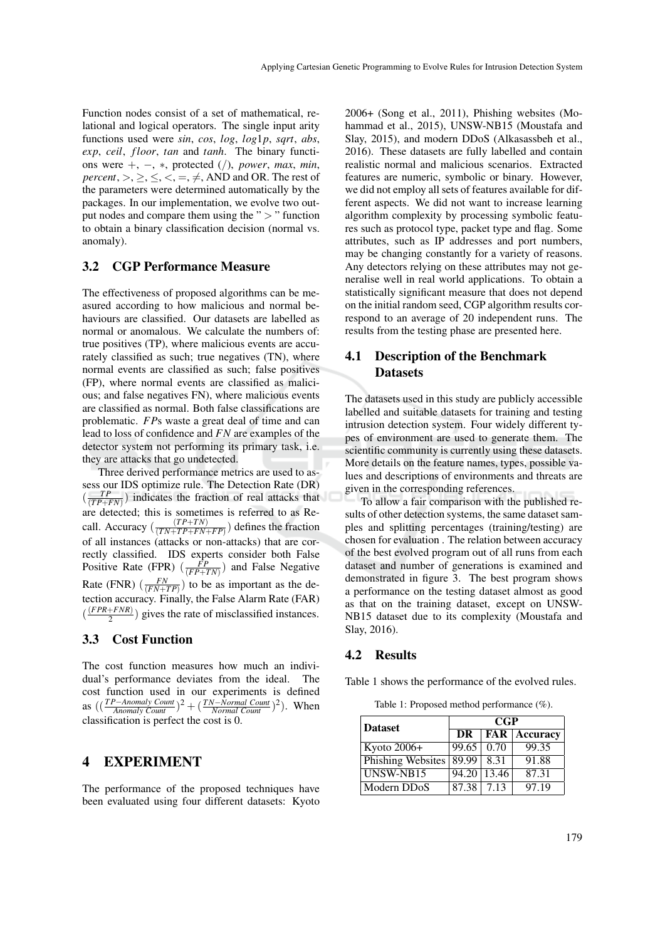Function nodes consist of a set of mathematical, relational and logical operators. The single input arity functions used were *sin*, *cos*, *log*, *log*1*p*, *sqrt*, *abs*, *exp*, *ceil*, *f loor*, *tan* and *tanh*. The binary functions were +, −, ∗, protected (/), *power*, *max*, *min*, *percent*,  $>$ ,  $\geq$ ,  $\leq$ ,  $\lt$ ,  $=$ ,  $\neq$ , AND and OR. The rest of the parameters were determined automatically by the packages. In our implementation, we evolve two output nodes and compare them using the " $>$ " function to obtain a binary classification decision (normal vs. anomaly).

### 3.2 CGP Performance Measure

The effectiveness of proposed algorithms can be measured according to how malicious and normal behaviours are classified. Our datasets are labelled as normal or anomalous. We calculate the numbers of: true positives (TP), where malicious events are accurately classified as such; true negatives (TN), where normal events are classified as such; false positives (FP), where normal events are classified as malicious; and false negatives FN), where malicious events are classified as normal. Both false classifications are problematic. *FP*s waste a great deal of time and can lead to loss of confidence and *FN* are examples of the detector system not performing its primary task, i.e. they are attacks that go undetected.

Three derived performance metrics are used to assess our IDS optimize rule. The Detection Rate (DR)  $(\frac{TP}{(TP+FN)})$  indicates the fraction of real attacks that are detected; this is sometimes is referred to as Recall. Accuracy ( $\frac{(TP+TN)}{(TN+TP+FN+N+TN}$  $\frac{(TF+TN)}{(TN+TP+FN+FP)}$ ) defines the fraction of all instances (attacks or non-attacks) that are correctly classified. IDS experts consider both False Positive Rate (FPR)  $(\frac{\overline{FP}}{(FP+TN)})$  and False Negative Rate (FNR)  $\left(\frac{FN}{(FN+TP)}\right)$  to be as important as the detection accuracy. Finally, the False Alarm Rate (FAR)  $\left(\frac{(FPR+FNR)}{2}\right)$  $\frac{2+FN}{2}$ ) gives the rate of misclassified instances.

### 3.3 Cost Function

The cost function measures how much an individual's performance deviates from the ideal. The cost function used in our experiments is defined as  $\left(\frac{TP - Anomaly \; Count}{\; Anomaly \; Count}\right)^2 + \left(\frac{TN - Normal \; Count}{\; Normal \; Count}\right)^2$ . When classification is perfect the cost is 0.

### 4 EXPERIMENT

The performance of the proposed techniques have been evaluated using four different datasets: Kyoto

2006+ (Song et al., 2011), Phishing websites (Mohammad et al., 2015), UNSW-NB15 (Moustafa and Slay, 2015), and modern DDoS (Alkasassbeh et al., 2016). These datasets are fully labelled and contain realistic normal and malicious scenarios. Extracted features are numeric, symbolic or binary. However, we did not employ all sets of features available for different aspects. We did not want to increase learning algorithm complexity by processing symbolic features such as protocol type, packet type and flag. Some attributes, such as IP addresses and port numbers, may be changing constantly for a variety of reasons. Any detectors relying on these attributes may not generalise well in real world applications. To obtain a statistically significant measure that does not depend on the initial random seed, CGP algorithm results correspond to an average of 20 independent runs. The results from the testing phase are presented here.

### 4.1 Description of the Benchmark **Datasets**

The datasets used in this study are publicly accessible labelled and suitable datasets for training and testing intrusion detection system. Four widely different types of environment are used to generate them. The scientific community is currently using these datasets. More details on the feature names, types, possible values and descriptions of environments and threats are given in the corresponding references.

To allow a fair comparison with the published results of other detection systems, the same dataset samples and splitting percentages (training/testing) are chosen for evaluation . The relation between accuracy of the best evolved program out of all runs from each dataset and number of generations is examined and demonstrated in figure 3. The best program shows a performance on the testing dataset almost as good as that on the training dataset, except on UNSW-NB15 dataset due to its complexity (Moustafa and Slay, 2016).

#### 4.2 Results

Table 1 shows the performance of the evolved rules.

Table 1: Proposed method performance (%).

| <b>Dataset</b>           | <b>CGP</b> |                   |          |
|--------------------------|------------|-------------------|----------|
|                          | DR         | <b>FAR</b>        | Accuracy |
| Kyoto 2006+              | 99.65      | 0.70              | 99.35    |
| <b>Phishing Websites</b> | 89.99      | 8.31              | 91.88    |
| UNSW-NB15                |            | $94.20\,$   13.46 | 87.31    |
| Modern DDoS              | 87.38 7.13 |                   | 97.19    |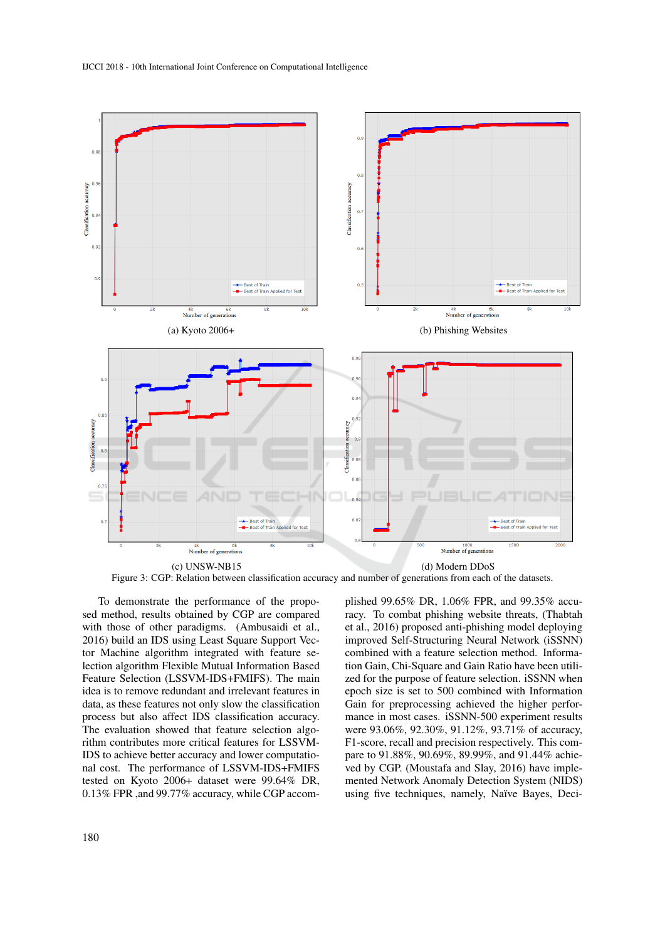

Figure 3: CGP: Relation between classification accuracy and number of generations from each of the datasets.

To demonstrate the performance of the proposed method, results obtained by CGP are compared with those of other paradigms. (Ambusaidi et al., 2016) build an IDS using Least Square Support Vector Machine algorithm integrated with feature selection algorithm Flexible Mutual Information Based Feature Selection (LSSVM-IDS+FMIFS). The main idea is to remove redundant and irrelevant features in data, as these features not only slow the classification process but also affect IDS classification accuracy. The evaluation showed that feature selection algorithm contributes more critical features for LSSVM-IDS to achieve better accuracy and lower computational cost. The performance of LSSVM-IDS+FMIFS tested on Kyoto 2006+ dataset were 99.64% DR, 0.13% FPR ,and 99.77% accuracy, while CGP accomplished 99.65% DR, 1.06% FPR, and 99.35% accuracy. To combat phishing website threats, (Thabtah et al., 2016) proposed anti-phishing model deploying improved Self-Structuring Neural Network (iSSNN) combined with a feature selection method. Information Gain, Chi-Square and Gain Ratio have been utilized for the purpose of feature selection. iSSNN when epoch size is set to 500 combined with Information Gain for preprocessing achieved the higher performance in most cases. iSSNN-500 experiment results were 93.06%, 92.30%, 91.12%, 93.71% of accuracy, F1-score, recall and precision respectively. This compare to 91.88%, 90.69%, 89.99%, and 91.44% achieved by CGP. (Moustafa and Slay, 2016) have implemented Network Anomaly Detection System (NIDS) using five techniques, namely, Naïve Bayes, Deci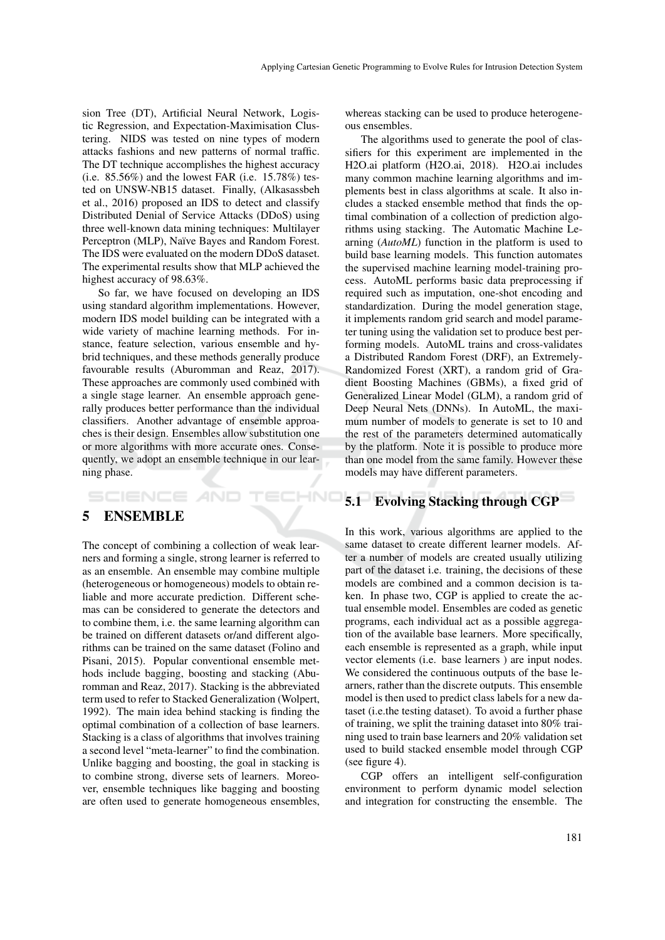sion Tree (DT), Artificial Neural Network, Logistic Regression, and Expectation-Maximisation Clustering. NIDS was tested on nine types of modern attacks fashions and new patterns of normal traffic. The DT technique accomplishes the highest accuracy (i.e.  $85.56\%$ ) and the lowest FAR (i.e.  $15.78\%$ ) tested on UNSW-NB15 dataset. Finally, (Alkasassbeh et al., 2016) proposed an IDS to detect and classify Distributed Denial of Service Attacks (DDoS) using three well-known data mining techniques: Multilayer Perceptron (MLP), Naïve Bayes and Random Forest. The IDS were evaluated on the modern DDoS dataset. The experimental results show that MLP achieved the highest accuracy of 98.63%.

So far, we have focused on developing an IDS using standard algorithm implementations. However, modern IDS model building can be integrated with a wide variety of machine learning methods. For instance, feature selection, various ensemble and hybrid techniques, and these methods generally produce favourable results (Aburomman and Reaz, 2017). These approaches are commonly used combined with a single stage learner. An ensemble approach generally produces better performance than the individual classifiers. Another advantage of ensemble approaches is their design. Ensembles allow substitution one or more algorithms with more accurate ones. Consequently, we adopt an ensemble technique in our learning phase.

IHNO

### 5 ENSEMBLE

SCIENCE *A*ND

The concept of combining a collection of weak learners and forming a single, strong learner is referred to as an ensemble. An ensemble may combine multiple (heterogeneous or homogeneous) models to obtain reliable and more accurate prediction. Different schemas can be considered to generate the detectors and to combine them, i.e. the same learning algorithm can be trained on different datasets or/and different algorithms can be trained on the same dataset (Folino and Pisani, 2015). Popular conventional ensemble methods include bagging, boosting and stacking (Aburomman and Reaz, 2017). Stacking is the abbreviated term used to refer to Stacked Generalization (Wolpert, 1992). The main idea behind stacking is finding the optimal combination of a collection of base learners. Stacking is a class of algorithms that involves training a second level "meta-learner" to find the combination. Unlike bagging and boosting, the goal in stacking is to combine strong, diverse sets of learners. Moreover, ensemble techniques like bagging and boosting are often used to generate homogeneous ensembles,

whereas stacking can be used to produce heterogeneous ensembles.

The algorithms used to generate the pool of classifiers for this experiment are implemented in the H2O.ai platform (H2O.ai, 2018). H2O.ai includes many common machine learning algorithms and implements best in class algorithms at scale. It also includes a stacked ensemble method that finds the optimal combination of a collection of prediction algorithms using stacking. The Automatic Machine Learning (*AutoML*) function in the platform is used to build base learning models. This function automates the supervised machine learning model-training process. AutoML performs basic data preprocessing if required such as imputation, one-shot encoding and standardization. During the model generation stage, it implements random grid search and model parameter tuning using the validation set to produce best performing models. AutoML trains and cross-validates a Distributed Random Forest (DRF), an Extremely-Randomized Forest (XRT), a random grid of Gradient Boosting Machines (GBMs), a fixed grid of Generalized Linear Model (GLM), a random grid of Deep Neural Nets (DNNs). In AutoML, the maximum number of models to generate is set to 10 and the rest of the parameters determined automatically by the platform. Note it is possible to produce more than one model from the same family. However these models may have different parameters.

### 5.1 Evolving Stacking through CGP

In this work, various algorithms are applied to the same dataset to create different learner models. After a number of models are created usually utilizing part of the dataset i.e. training, the decisions of these models are combined and a common decision is taken. In phase two, CGP is applied to create the actual ensemble model. Ensembles are coded as genetic programs, each individual act as a possible aggregation of the available base learners. More specifically, each ensemble is represented as a graph, while input vector elements (i.e. base learners ) are input nodes. We considered the continuous outputs of the base learners, rather than the discrete outputs. This ensemble model is then used to predict class labels for a new dataset (i.e.the testing dataset). To avoid a further phase of training, we split the training dataset into 80% training used to train base learners and 20% validation set used to build stacked ensemble model through CGP (see figure 4).

CGP offers an intelligent self-configuration environment to perform dynamic model selection and integration for constructing the ensemble. The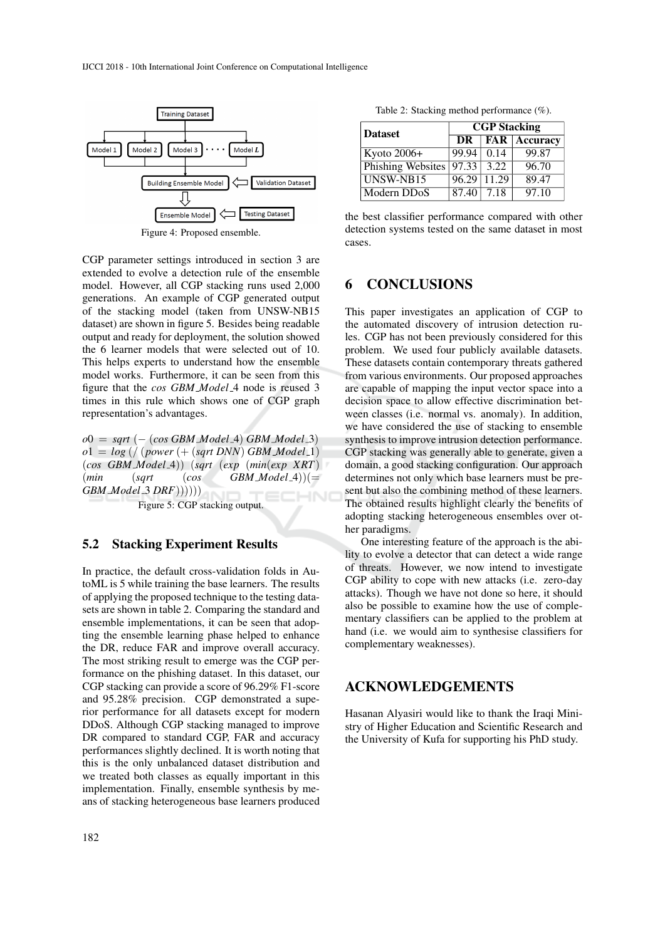

Figure 4: Proposed ensemble.

CGP parameter settings introduced in section 3 are extended to evolve a detection rule of the ensemble model. However, all CGP stacking runs used 2,000 generations. An example of CGP generated output of the stacking model (taken from UNSW-NB15 dataset) are shown in figure 5. Besides being readable output and ready for deployment, the solution showed the 6 learner models that were selected out of 10. This helps experts to understand how the ensemble model works. Furthermore, it can be seen from this figure that the *cos GBM Model* 4 node is reused 3 times in this rule which shows one of CGP graph representation's advantages.

*o*0 = *sqrt* (− (*cos GBM Model* 4) *GBM Model* 3)  $o1 = log ( / (power (+ (sqrt DNN) GBM Model_1))$ (*cos GBM Model* 4)) (*sqrt* (*exp* (*min*(*exp XRT*)  $(min \t(sqrt \t(cos \t GBM_{\text{Model}}))$ (= *GBM Model* 3 *DRF*))))))

Figure 5: CGP stacking output.

#### 5.2 Stacking Experiment Results

In practice, the default cross-validation folds in AutoML is 5 while training the base learners. The results of applying the proposed technique to the testing datasets are shown in table 2. Comparing the standard and ensemble implementations, it can be seen that adopting the ensemble learning phase helped to enhance the DR, reduce FAR and improve overall accuracy. The most striking result to emerge was the CGP performance on the phishing dataset. In this dataset, our CGP stacking can provide a score of 96.29% F1-score and 95.28% precision. CGP demonstrated a superior performance for all datasets except for modern DDoS. Although CGP stacking managed to improve DR compared to standard CGP, FAR and accuracy performances slightly declined. It is worth noting that this is the only unbalanced dataset distribution and we treated both classes as equally important in this implementation. Finally, ensemble synthesis by means of stacking heterogeneous base learners produced

Table 2: Stacking method performance (%).

| <b>Dataset</b>    | <b>CGP Stacking</b> |                    |                                                                |
|-------------------|---------------------|--------------------|----------------------------------------------------------------|
|                   | DR                  |                    | $\overline{\phantom{a}}$ FAR $\overline{\phantom{a}}$ Accuracy |
| Kyoto 2006+       | 99.94               | 0.14               | 99.87                                                          |
| Phishing Websites | $ 97.33 $ 3.22      |                    | 96.70                                                          |
| UNSW-NB15         |                     | $96.29 \mid 11.29$ | 89.47                                                          |
| Modern DDoS       | 87.40               | 7.18               | 97.10                                                          |

the best classifier performance compared with other detection systems tested on the same dataset in most cases.

### 6 CONCLUSIONS

This paper investigates an application of CGP to the automated discovery of intrusion detection rules. CGP has not been previously considered for this problem. We used four publicly available datasets. These datasets contain contemporary threats gathered from various environments. Our proposed approaches are capable of mapping the input vector space into a decision space to allow effective discrimination between classes (i.e. normal vs. anomaly). In addition, we have considered the use of stacking to ensemble synthesis to improve intrusion detection performance. CGP stacking was generally able to generate, given a domain, a good stacking configuration. Our approach determines not only which base learners must be present but also the combining method of these learners. The obtained results highlight clearly the benefits of adopting stacking heterogeneous ensembles over other paradigms.

One interesting feature of the approach is the ability to evolve a detector that can detect a wide range of threats. However, we now intend to investigate CGP ability to cope with new attacks (i.e. zero-day attacks). Though we have not done so here, it should also be possible to examine how the use of complementary classifiers can be applied to the problem at hand (i.e. we would aim to synthesise classifiers for complementary weaknesses).

#### ACKNOWLEDGEMENTS

Hasanan Alyasiri would like to thank the Iraqi Ministry of Higher Education and Scientific Research and the University of Kufa for supporting his PhD study.